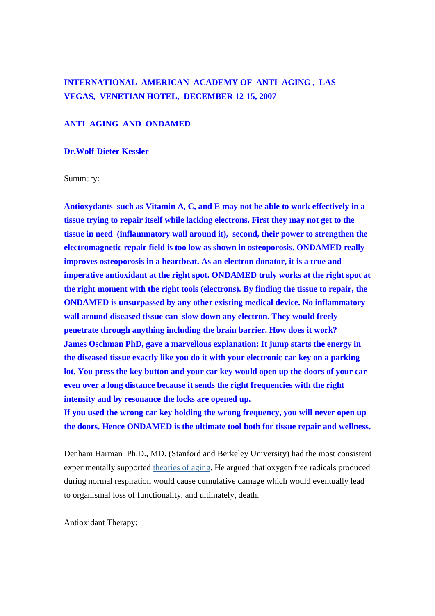# **INTERNATIONAL AMERICAN ACADEMY OF ANTI AGING , LAS VEGAS, VENETIAN HOTEL, DECEMBER 12-15, 2007**

## **ANTI AGING AND ONDAMED**

### **Dr.Wolf-Dieter Kessler**

#### Summary:

**Antioxydants such as Vitamin A, C, and E may not be able to work effectively in a tissue trying to repair itself while lacking electrons. First they may not get to the tissue in need (inflammatory wall around it), second, their power to strengthen the electromagnetic repair field is too low as shown in osteoporosis. ONDAMED really improves osteoporosis in a heartbeat. As an electron donator, it is a true and imperative antioxidant at the right spot. ONDAMED truly works at the right spot at the right moment with the right tools (electrons). By finding the tissue to repair, the ONDAMED is unsurpassed by any other existing medical device. No inflammatory wall around diseased tissue can slow down any electron. They would freely penetrate through anything including the brain barrier. How does it work? James Oschman PhD, gave a marvellous explanation: It jump starts the energy in the diseased tissue exactly like you do it with your electronic car key on a parking lot. You press the key button and your car key would open up the doors of your car even over a long distance because it sends the right frequencies with the right intensity and by resonance the locks are opened up.** 

**If you used the wrong car key holding the wrong frequency, you will never open up the doors. Hence ONDAMED is the ultimate tool both for tissue repair and wellness.** 

Denham Harman Ph.D., MD. (Stanford and Berkeley University) had the most consistent experimentally supported theories of aging. He argued that oxygen free radicals produced during normal respiration would cause cumulative damage which would eventually lead to organismal loss of functionality, and ultimately, death.

Antioxidant Therapy: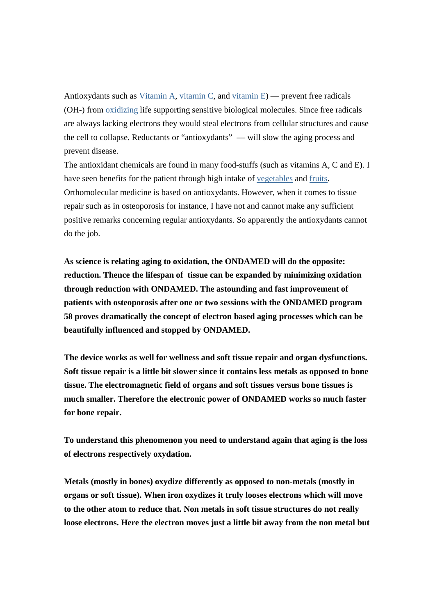Antioxydants such as Vitamin A, vitamin C, and vitamin E) — prevent free radicals (OH-) from oxidizing life supporting sensitive biological molecules. Since free radicals are always lacking electrons they would steal electrons from cellular structures and cause the cell to collapse. Reductants or "antioxydants" — will slow the aging process and prevent disease.

The antioxidant chemicals are found in many food-stuffs (such as vitamins A, C and E). I have seen benefits for the patient through high intake of vegetables and fruits. Orthomolecular medicine is based on antioxydants. However, when it comes to tissue repair such as in osteoporosis for instance, I have not and cannot make any sufficient positive remarks concerning regular antioxydants. So apparently the antioxydants cannot do the job.

**As science is relating aging to oxidation, the ONDAMED will do the opposite: reduction. Thence the lifespan of tissue can be expanded by minimizing oxidation through reduction with ONDAMED. The astounding and fast improvement of patients with osteoporosis after one or two sessions with the ONDAMED program 58 proves dramatically the concept of electron based aging processes which can be beautifully influenced and stopped by ONDAMED.**

**The device works as well for wellness and soft tissue repair and organ dysfunctions. Soft tissue repair is a little bit slower since it contains less metals as opposed to bone tissue. The electromagnetic field of organs and soft tissues versus bone tissues is much smaller. Therefore the electronic power of ONDAMED works so much faster for bone repair.** 

**To understand this phenomenon you need to understand again that aging is the loss of electrons respectively oxydation.** 

**Metals (mostly in bones) oxydize differently as opposed to non-metals (mostly in organs or soft tissue). When iron oxydizes it truly looses electrons which will move to the other atom to reduce that. Non metals in soft tissue structures do not really loose electrons. Here the electron moves just a little bit away from the non metal but**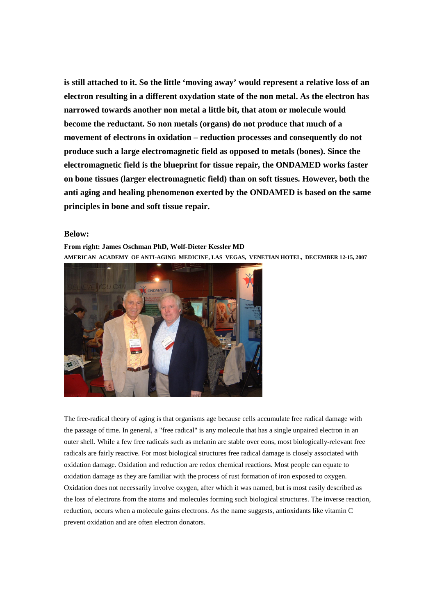**is still attached to it. So the little 'moving away' would represent a relative loss of an electron resulting in a different oxydation state of the non metal. As the electron has narrowed towards another non metal a little bit, that atom or molecule would become the reductant. So non metals (organs) do not produce that much of a movement of electrons in oxidation – reduction processes and consequently do not produce such a large electromagnetic field as opposed to metals (bones). Since the electromagnetic field is the blueprint for tissue repair, the ONDAMED works faster on bone tissues (larger electromagnetic field) than on soft tissues. However, both the anti aging and healing phenomenon exerted by the ONDAMED is based on the same principles in bone and soft tissue repair.** 

#### **Below:**

**From right: James Oschman PhD, Wolf-Dieter Kessler MD AMERICAN ACADEMY OF ANTI-AGING MEDICINE, LAS VEGAS, VENETIAN HOTEL, DECEMBER 12-15, 2007**



The free-radical theory of aging is that organisms age because cells accumulate free radical damage with the passage of time. In general, a "free radical" is any molecule that has a single unpaired electron in an outer shell. While a few free radicals such as melanin are stable over eons, most biologically-relevant free radicals are fairly reactive. For most biological structures free radical damage is closely associated with oxidation damage. Oxidation and reduction are redox chemical reactions. Most people can equate to oxidation damage as they are familiar with the process of rust formation of iron exposed to oxygen. Oxidation does not necessarily involve oxygen, after which it was named, but is most easily described as the loss of electrons from the atoms and molecules forming such biological structures. The inverse reaction, reduction, occurs when a molecule gains electrons. As the name suggests, antioxidants like vitamin C prevent oxidation and are often electron donators.